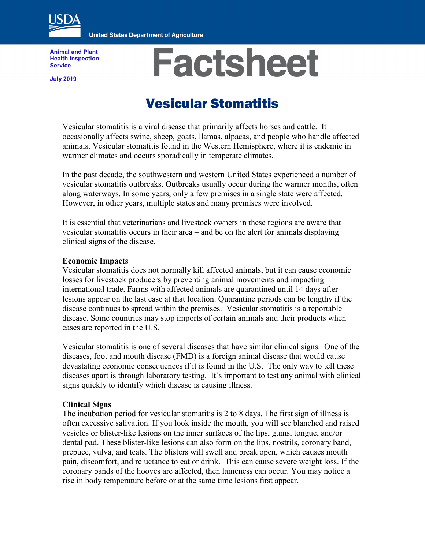

**United States Department of Agriculture** 

**Animal and Plant Health Inspection Service**

**July 2019**

# **Factsheet**

# Vesicular Stomatitis

Vesicular stomatitis is a viral disease that primarily affects horses and cattle. It occasionally affects swine, sheep, goats, llamas, alpacas, and people who handle affected animals. Vesicular stomatitis found in the Western Hemisphere, where it is endemic in warmer climates and occurs sporadically in temperate climates.

In the past decade, the southwestern and western United States experienced a number of vesicular stomatitis outbreaks. Outbreaks usually occur during the warmer months, often along waterways. In some years, only a few premises in a single state were affected. However, in other years, multiple states and many premises were involved.

It is essential that veterinarians and livestock owners in these regions are aware that vesicular stomatitis occurs in their area – and be on the alert for animals displaying clinical signs of the disease.

### **Economic Impacts**

Vesicular stomatitis does not normally kill affected animals, but it can cause economic losses for livestock producers by preventing animal movements and impacting international trade. Farms with affected animals are quarantined until 14 days after lesions appear on the last case at that location. Quarantine periods can be lengthy if the disease continues to spread within the premises. Vesicular stomatitis is a reportable disease. Some countries may stop imports of certain animals and their products when cases are reported in the U.S.

Vesicular stomatitis is one of several diseases that have similar clinical signs. One of the diseases, foot and mouth disease (FMD) is a foreign animal disease that would cause devastating economic consequences if it is found in the U.S. The only way to tell these diseases apart is through laboratory testing. It's important to test any animal with clinical signs quickly to identify which disease is causing illness.

# **Clinical Signs**

The incubation period for vesicular stomatitis is 2 to 8 days. The first sign of illness is often excessive salivation. If you look inside the mouth, you will see blanched and raised vesicles or blister-like lesions on the inner surfaces of the lips, gums, tongue, and/or dental pad. These blister-like lesions can also form on the lips, nostrils, coronary band, prepuce, vulva, and teats. The blisters will swell and break open, which causes mouth pain, discomfort, and reluctance to eat or drink. This can cause severe weight loss. If the coronary bands of the hooves are affected, then lameness can occur. You may notice a rise in body temperature before or at the same time lesions first appear.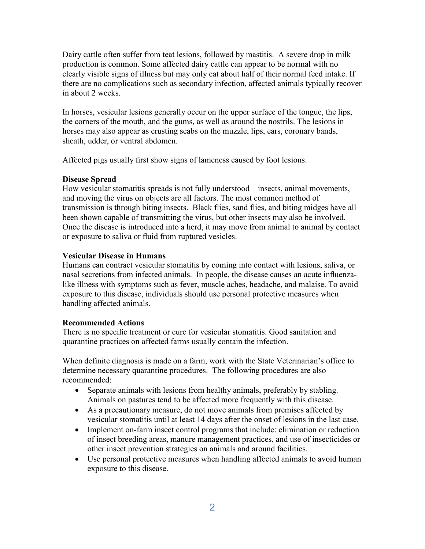Dairy cattle often suffer from teat lesions, followed by mastitis. A severe drop in milk production is common. Some affected dairy cattle can appear to be normal with no clearly visible signs of illness but may only eat about half of their normal feed intake. If there are no complications such as secondary infection, affected animals typically recover in about 2 weeks.

In horses, vesicular lesions generally occur on the upper surface of the tongue, the lips, the corners of the mouth, and the gums, as well as around the nostrils. The lesions in horses may also appear as crusting scabs on the muzzle, lips, ears, coronary bands, sheath, udder, or ventral abdomen.

Affected pigs usually first show signs of lameness caused by foot lesions.

# **Disease Spread**

How vesicular stomatitis spreads is not fully understood – insects, animal movements, and moving the virus on objects are all factors. The most common method of transmission is through biting insects. Black flies, sand flies, and biting midges have all been shown capable of transmitting the virus, but other insects may also be involved. Once the disease is introduced into a herd, it may move from animal to animal by contact or exposure to saliva or fluid from ruptured vesicles.

## **Vesicular Disease in Humans**

Humans can contract vesicular stomatitis by coming into contact with lesions, saliva, or nasal secretions from infected animals. In people, the disease causes an acute influenzalike illness with symptoms such as fever, muscle aches, headache, and malaise. To avoid exposure to this disease, individuals should use personal protective measures when handling affected animals.

### **Recommended Actions**

There is no specific treatment or cure for vesicular stomatitis. Good sanitation and quarantine practices on affected farms usually contain the infection.

When definite diagnosis is made on a farm, work with the State Veterinarian's office to determine necessary quarantine procedures. The following procedures are also recommended:

- Separate animals with lesions from healthy animals, preferably by stabling. Animals on pastures tend to be affected more frequently with this disease.
- As a precautionary measure, do not move animals from premises affected by vesicular stomatitis until at least 14 days after the onset of lesions in the last case.
- Implement on-farm insect control programs that include: elimination or reduction of insect breeding areas, manure management practices, and use of insecticides or other insect prevention strategies on animals and around facilities.
- Use personal protective measures when handling affected animals to avoid human exposure to this disease.